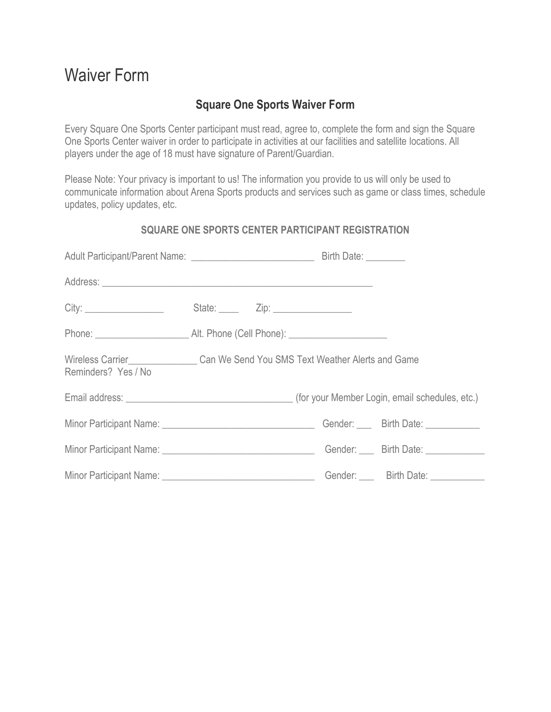# Waiver Form

# **Square One Sports Waiver Form**

Every Square One Sports Center participant must read, agree to, complete the form and sign the Square One Sports Center waiver in order to participate in activities at our facilities and satellite locations. All players under the age of 18 must have signature of Parent/Guardian.

Please Note: Your privacy is important to us! The information you provide to us will only be used to communicate information about Arena Sports products and services such as game or class times, schedule updates, policy updates, etc.

## **SQUARE ONE SPORTS CENTER PARTICIPANT REGISTRATION**

| Wireless Carrier_____________________Can We Send You SMS Text Weather Alerts and Game<br>Reminders? Yes / No |  |                                    |
|--------------------------------------------------------------------------------------------------------------|--|------------------------------------|
|                                                                                                              |  |                                    |
|                                                                                                              |  |                                    |
|                                                                                                              |  |                                    |
|                                                                                                              |  | Gender: ____ Birth Date: _________ |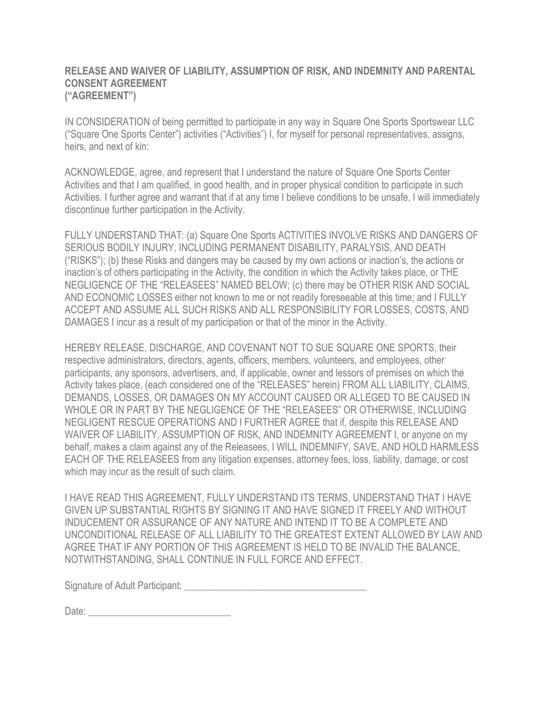### **RELEASE AND WAIVER OF LIABILITY, ASSUMPTION OF RISK, AND INDEMNITY AND PARENTAL CONSENT AGREEMENT ("AGREEMENT")**

IN CONSIDERATION of being permitted to participate in any way in Square One Sports Sportswear LLC ("Square One Sports Center") activities ("Activities") I, for myself for personal representatives, assigns, heirs, and next of kin:

ACKNOWLEDGE, agree, and represent that I understand the nature of Square One Sports Center Activities and that I am qualified, in good health, and in proper physical condition to participate in such Activities. I further agree and warrant that if at any time I believe conditions to be unsafe, I will immediately discontinue further participation in the Activity.

FULLY UNDERSTAND THAT: (a) Square One Sports ACTIVITIES INVOLVE RISKS AND DANGERS OF SERIOUS BODILY INJURY, INCLUDING PERMANENT DISABILITY, PARALYSIS, AND DEATH ("RISKS"); (b) these Risks and dangers may be caused by my own actions or inaction's, the actions or inaction's of others participating in the Activity, the condition in which the Activity takes place, or THE NEGLIGENCE OF THE "RELEASEES" NAMED BELOW; (c) there may be OTHER RISK AND SOCIAL AND ECONOMIC LOSSES either not known to me or not readily foreseeable at this time; and I FULLY ACCEPT AND ASSUME ALL SUCH RISKS AND ALL RESPONSIBILITY FOR LOSSES, COSTS, AND DAMAGES I incur as a result of my participation or that of the minor in the Activity.

HEREBY RELEASE, DISCHARGE, AND COVENANT NOT TO SUE SQUARE ONE SPORTS, their respective administrators, directors, agents, officers, members, volunteers, and employees, other participants, any sponsors, advertisers, and, if applicable, owner and lessors of premises on which the Activity takes place, (each considered one of the "RELEASES" herein) FROM ALL LIABILITY, CLAIMS, DEMANDS, LOSSES, OR DAMAGES ON MY ACCOUNT CAUSED OR ALLEGED TO BE CAUSED IN WHOLE OR IN PART BY THE NEGLIGENCE OF THE "RELEASEES" OR OTHERWISE, INCLUDING NEGLIGENT RESCUE OPERATIONS AND I FURTHER AGREE that if, despite this RELEASE AND WAIVER OF LIABILITY, ASSUMPTION OF RISK, AND INDEMNITY AGREEMENT I, or anyone on my behalf, makes a claim against any of the Releasees, I WILL INDEMNIFY, SAVE, AND HOLD HARMLESS EACH OF THE RELEASEES from any litigation expenses, attorney fees, loss, liability, damage, or cost which may incur as the result of such claim.

I HAVE READ THIS AGREEMENT, FULLY UNDERSTAND ITS TERMS, UNDERSTAND THAT I HAVE GIVEN UP SUBSTANTIAL RIGHTS BY SIGNING IT AND HAVE SIGNED IT FREELY AND WITHOUT INDUCEMENT OR ASSURANCE OF ANY NATURE AND INTEND IT TO BE A COMPLETE AND UNCONDITIONAL RELEASE OF ALL LIABILITY TO THE GREATEST EXTENT ALLOWED BY LAW AND AGREE THAT IF ANY PORTION OF THIS AGREEMENT IS HELD TO BE INVALID THE BALANCE, NOTWITHSTANDING, SHALL CONTINUE IN FULL FORCE AND EFFECT.

Signature of Adult Participant: \_\_\_\_\_\_\_\_\_\_\_\_\_\_\_\_\_\_\_\_\_\_\_\_\_\_\_\_\_\_\_\_\_\_\_\_\_

Date: